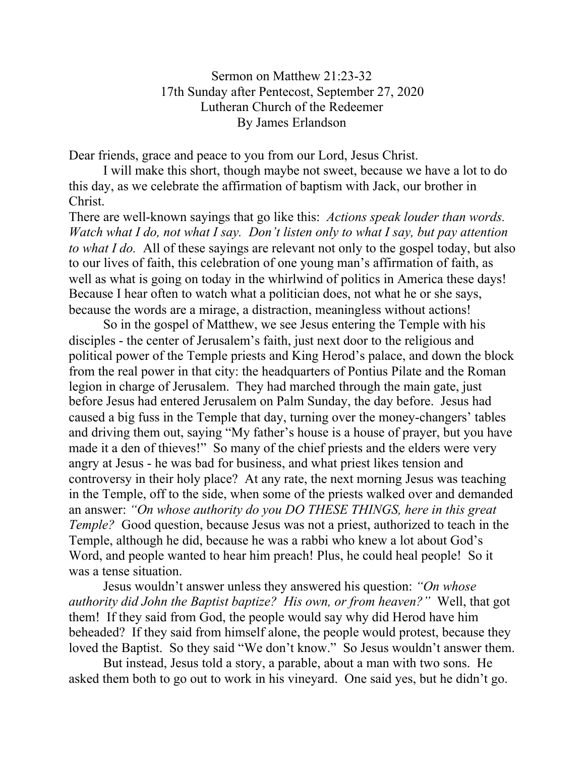Sermon on Matthew 21:23-32 17th Sunday after Pentecost, September 27, 2020 Lutheran Church of the Redeemer By James Erlandson

Dear friends, grace and peace to you from our Lord, Jesus Christ.

I will make this short, though maybe not sweet, because we have a lot to do this day, as we celebrate the affirmation of baptism with Jack, our brother in Christ.

There are well-known sayings that go like this: *Actions speak louder than words. Watch what I do, not what I say. Don't listen only to what I say, but pay attention to what I do.* All of these sayings are relevant not only to the gospel today, but also to our lives of faith, this celebration of one young man's affirmation of faith, as well as what is going on today in the whirlwind of politics in America these days! Because I hear often to watch what a politician does, not what he or she says, because the words are a mirage, a distraction, meaningless without actions!

So in the gospel of Matthew, we see Jesus entering the Temple with his disciples - the center of Jerusalem's faith, just next door to the religious and political power of the Temple priests and King Herod's palace, and down the block from the real power in that city: the headquarters of Pontius Pilate and the Roman legion in charge of Jerusalem. They had marched through the main gate, just before Jesus had entered Jerusalem on Palm Sunday, the day before. Jesus had caused a big fuss in the Temple that day, turning over the money-changers' tables and driving them out, saying "My father's house is a house of prayer, but you have made it a den of thieves!" So many of the chief priests and the elders were very angry at Jesus - he was bad for business, and what priest likes tension and controversy in their holy place? At any rate, the next morning Jesus was teaching in the Temple, off to the side, when some of the priests walked over and demanded an answer: *"On whose authority do you DO THESE THINGS, here in this great Temple?* Good question, because Jesus was not a priest, authorized to teach in the Temple, although he did, because he was a rabbi who knew a lot about God's Word, and people wanted to hear him preach! Plus, he could heal people! So it was a tense situation.

Jesus wouldn't answer unless they answered his question: *"On whose authority did John the Baptist baptize? His own, or from heaven?"* Well, that got them! If they said from God, the people would say why did Herod have him beheaded? If they said from himself alone, the people would protest, because they loved the Baptist. So they said "We don't know." So Jesus wouldn't answer them.

But instead, Jesus told a story, a parable, about a man with two sons. He asked them both to go out to work in his vineyard. One said yes, but he didn't go.